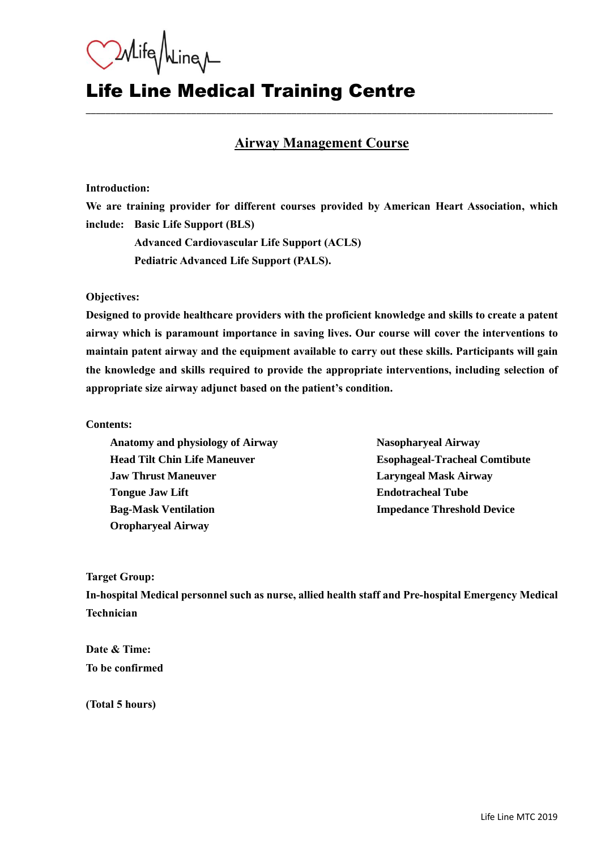Whife Mine

# Life Line Medical Training Centre

### **Airway Management Course**

\_\_\_\_\_\_\_\_\_\_\_\_\_\_\_\_\_\_\_\_\_\_\_\_\_\_\_\_\_\_\_\_\_\_\_\_\_\_\_\_\_\_\_\_\_\_\_\_\_\_\_\_\_\_\_\_\_\_\_\_\_\_\_\_\_\_\_\_\_\_\_\_\_\_\_\_\_\_\_\_\_\_\_\_\_\_\_\_\_\_\_\_\_

#### **Introduction:**

**We are training provider for different courses provided by American Heart Association, which include: Basic Life Support (BLS)**

**Advanced Cardiovascular Life Support (ACLS) Pediatric Advanced Life Support (PALS).**

**Objectives:**

**Designed to provide healthcare providers with the proficient knowledge and skills to create a patent airway which is paramount importance in saving lives. Our course will cover the interventions to maintain patent airway and the equipment available to carry out these skills. Participants will gain the knowledge and skills required to provide the appropriate interventions, including selection of appropriate size airway adjunct based on the patient's condition.** 

**Contents:** 

**Anatomy and physiology of Airway Nasopharyeal Airway Head Tilt Chin Life Maneuver Esophageal-Tracheal Comtibute Jaw Thrust Maneuver Laryngeal Mask Airway Tongue Jaw Lift Endotracheal Tube Bag-Mask Ventilation Impedance Threshold Device Oropharyeal Airway**

**Target Group:**

**In-hospital Medical personnel such as nurse, allied health staff and Pre-hospital Emergency Medical Technician**

**Date & Time: To be confirmed**

**(Total 5 hours)**